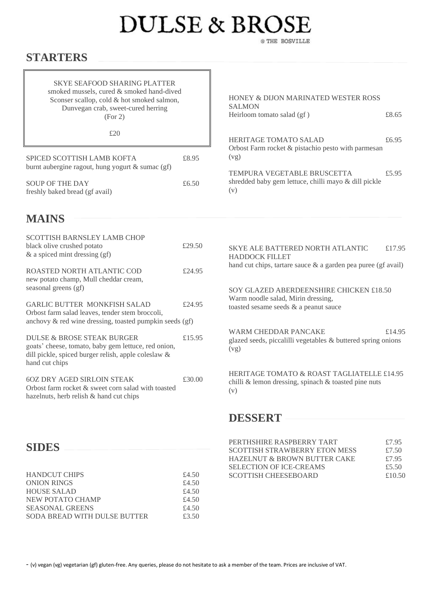## **DULSE & BROSE** @ THE BOSVILLE

## **STARTERS**

| <b>SKYE SEAFOOD SHARING PLATTER</b><br>smoked mussels, cured & smoked hand-dived<br>Sconser scallop, cold & hot smoked salmon,<br>Dunvegan crab, sweet-cured herring<br>(For 2) |        | HONEY & DIJON MARINATED WESTER ROSS<br><b>SALMON</b><br>Heirloom tomato salad (gf)                                     | £8.65          |
|---------------------------------------------------------------------------------------------------------------------------------------------------------------------------------|--------|------------------------------------------------------------------------------------------------------------------------|----------------|
| £20                                                                                                                                                                             |        | HERITAGE TOMATO SALAD                                                                                                  | £6.95          |
| SPICED SCOTTISH LAMB KOFTA<br>burnt aubergine ragout, hung yogurt & sumac (gf)                                                                                                  | £8.95  | Orbost Farm rocket & pistachio pesto with parmesan<br>(vg)                                                             |                |
| <b>SOUP OF THE DAY</b><br>freshly baked bread (gf avail)                                                                                                                        | £6.50  | TEMPURA VEGETABLE BRUSCETTA<br>shredded baby gem lettuce, chilli mayo & dill pickle<br>(v)                             | £5.95          |
| <b>MAINS</b>                                                                                                                                                                    |        |                                                                                                                        |                |
| SCOTTISH BARNSLEY LAMB CHOP<br>black olive crushed potato<br>& a spiced mint dressing (gf)                                                                                      | £29.50 | <b>SKYE ALE BATTERED NORTH ATLANTIC</b><br><b>HADDOCK FILLET</b>                                                       | £17.95         |
| ROASTED NORTH ATLANTIC COD<br>new potato champ, Mull cheddar cream,                                                                                                             | £24.95 | hand cut chips, tartare sauce $\&$ a garden pea puree (gf avail)                                                       |                |
| seasonal greens (gf)<br><b>GARLIC BUTTER MONKFISH SALAD</b><br>Orbost farm salad leaves, tender stem broccoli,<br>anchovy & red wine dressing, toasted pumpkin seeds (gf)       | £24.95 | SOY GLAZED ABERDEENSHIRE CHICKEN £18.50<br>Warm noodle salad, Mirin dressing,<br>toasted sesame seeds & a peanut sauce |                |
| <b>DULSE &amp; BROSE STEAK BURGER</b><br>goats' cheese, tomato, baby gem lettuce, red onion,<br>dill pickle, spiced burger relish, apple coleslaw &<br>hand cut chips           | £15.95 | <b>WARM CHEDDAR PANCAKE</b><br>glazed seeds, piccalilli vegetables & buttered spring onions<br>(vg)                    | £14.95         |
| <b>6OZ DRY AGED SIRLOIN STEAK</b><br>Orbost farm rocket & sweet corn salad with toasted<br>hazelnuts, herb relish & hand cut chips                                              | £30.00 | HERITAGE TOMATO & ROAST TAGLIATELLE £14.95<br>chilli & lemon dressing, spinach & toasted pine nuts<br>(v)              |                |
|                                                                                                                                                                                 |        | <b>DESSERT</b>                                                                                                         |                |
| <b>SIDES</b>                                                                                                                                                                    |        | PERTHSHIRE RASPBERRY TART<br>SCOTTISH STRAWBERRY ETON MESS                                                             | £7.95<br>£7.50 |

HAZELNUT & BROWN BUTTER CAKE £7.95<br>SELECTION OF ICE-CREAMS £5.50 SELECTION OF ICE-CREAMS <br>  $\begin{array}{lll} \text{SEDE} & \text{E5.50} \\ \text{SCOTTISH CHEESEBOARD} & \text{E10.50} \end{array}$ 

SCOTTISH CHEESEBOARD

| <b>HANDCUT CHIPS</b>         | £4.50 |
|------------------------------|-------|
| <b>ONION RINGS</b>           | £4.50 |
| <b>HOUSE SALAD</b>           | £4.50 |
| NEW POTATO CHAMP             | £4.50 |
| <b>SEASONAL GREENS</b>       | £4.50 |
| SODA BREAD WITH DULSE BUTTER | £3.50 |

- (v) vegan (vg) vegetarian (gf) gluten-free. Any queries, please do not hesitate to ask a member of the team. Prices are inclusive of VAT.